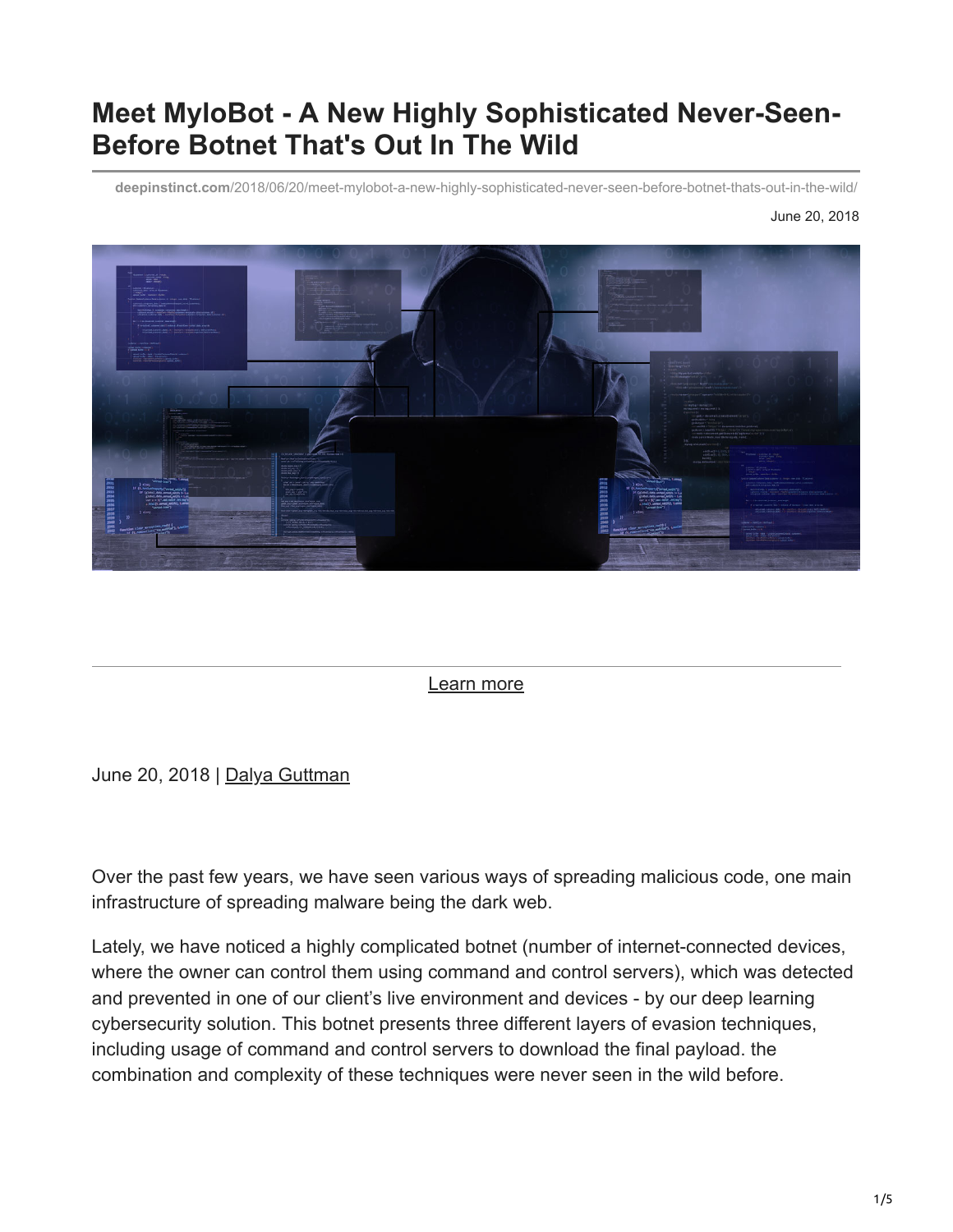# **Meet MyloBot - A New Highly Sophisticated Never-Seen-Before Botnet That's Out In The Wild**

**deepinstinct.com**[/2018/06/20/meet-mylobot-a-new-highly-sophisticated-never-seen-before-botnet-thats-out-in-the-wild/](https://www.deepinstinct.com/2018/06/20/meet-mylobot-a-new-highly-sophisticated-never-seen-before-botnet-thats-out-in-the-wild/)

June 20, 2018



[Learn more](https://www.deepinstinct.com/news/deep-instinct-shows-100-percent-score-in-mitre-evaluations)

June 20, 2018 | [Dalya Guttman](https://www.deepinstinct.com/author/dalya-guttman)

Over the past few years, we have seen various ways of spreading malicious code, one main infrastructure of spreading malware being the dark web.

Lately, we have noticed a highly complicated botnet (number of internet-connected devices, where the owner can control them using command and control servers), which was detected and prevented in one of our client's live environment and devices - by our deep learning cybersecurity solution. This botnet presents three different layers of evasion techniques, including usage of command and control servers to download the final payload. the combination and complexity of these techniques were never seen in the wild before.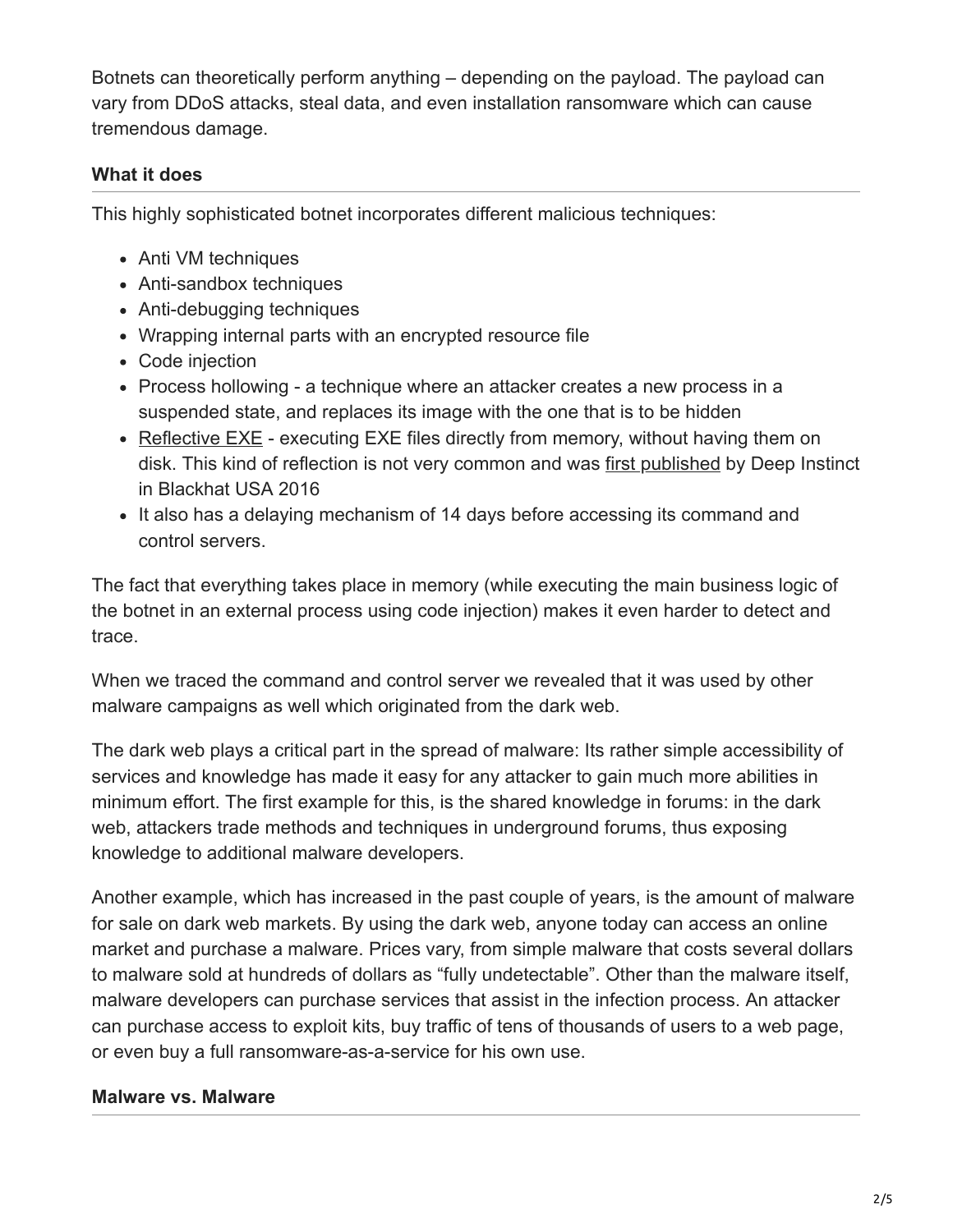Botnets can theoretically perform anything – depending on the payload. The payload can vary from DDoS attacks, steal data, and even installation ransomware which can cause tremendous damage.

## **What it does**

This highly sophisticated botnet incorporates different malicious techniques:

- Anti VM techniques
- Anti-sandbox techniques
- Anti-debugging techniques
- Wrapping internal parts with an encrypted resource file
- Code injection
- Process hollowing a technique where an attacker creates a new process in a suspended state, and replaces its image with the one that is to be hidden
- [Reflective EXE](https://www.blackhat.com/docs/us-16/materials/us-16-Nipravsky-Certificate-Bypass-Hiding-And-Executing-Malware-From-A-Digitally-Signed-Executable-wp.pdf) executing EXE files directly from memory, without having them on disk. This kind of reflection is not very common and was [first published](https://www.blackhat.com/docs/us-16/materials/us-16-Nipravsky-Certificate-Bypass-Hiding-And-Executing-Malware-From-A-Digitally-Signed-Executable-wp.pdf) by Deep Instinct in Blackhat USA 2016
- It also has a delaying mechanism of 14 days before accessing its command and control servers.

The fact that everything takes place in memory (while executing the main business logic of the botnet in an external process using code injection) makes it even harder to detect and trace.

When we traced the command and control server we revealed that it was used by other malware campaigns as well which originated from the dark web.

The dark web plays a critical part in the spread of malware: Its rather simple accessibility of services and knowledge has made it easy for any attacker to gain much more abilities in minimum effort. The first example for this, is the shared knowledge in forums: in the dark web, attackers trade methods and techniques in underground forums, thus exposing knowledge to additional malware developers.

Another example, which has increased in the past couple of years, is the amount of malware for sale on dark web markets. By using the dark web, anyone today can access an online market and purchase a malware. Prices vary, from simple malware that costs several dollars to malware sold at hundreds of dollars as "fully undetectable". Other than the malware itself, malware developers can purchase services that assist in the infection process. An attacker can purchase access to exploit kits, buy traffic of tens of thousands of users to a web page, or even buy a full ransomware-as-a-service for his own use.

### **Malware vs. Malware**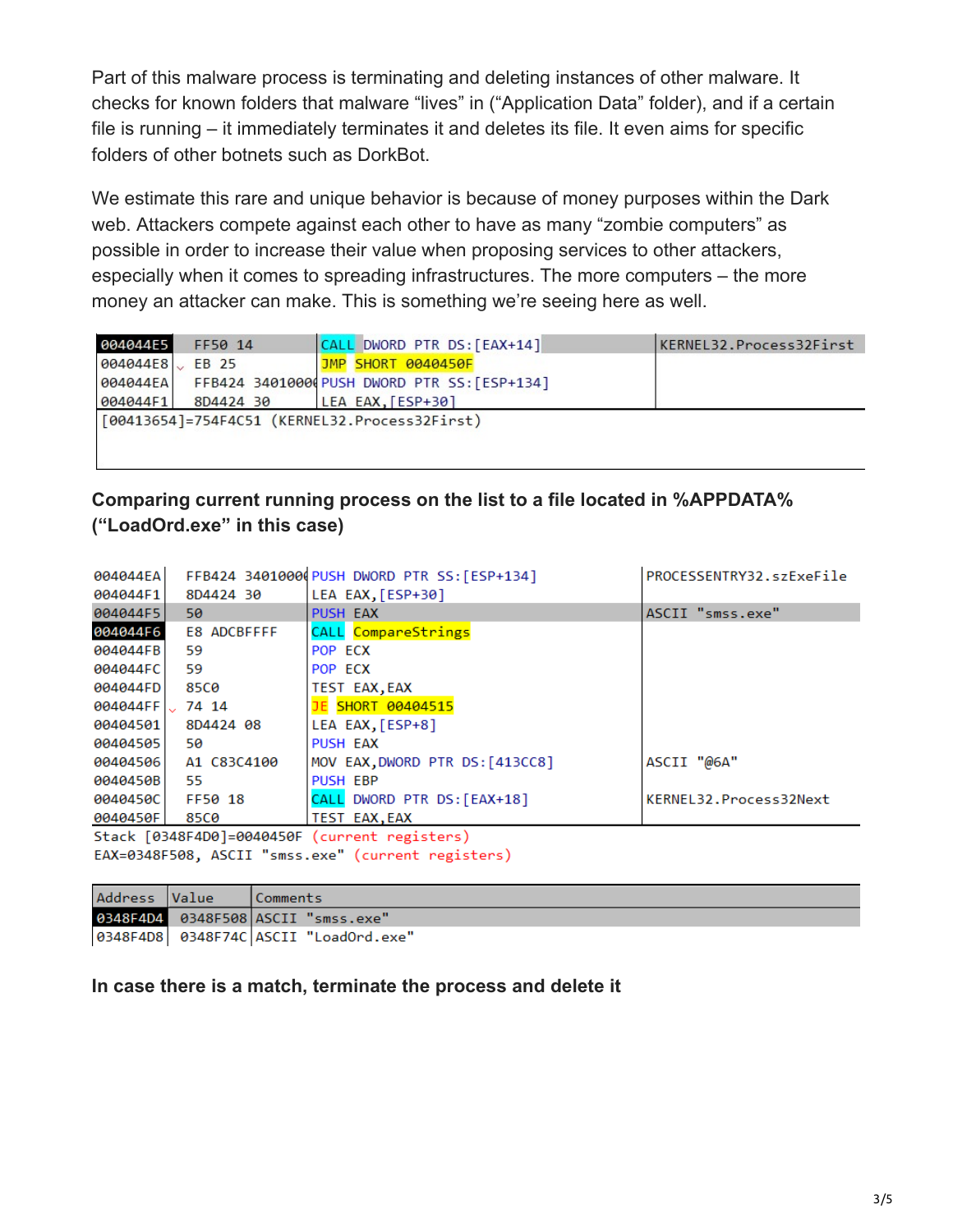Part of this malware process is terminating and deleting instances of other malware. It checks for known folders that malware "lives" in ("Application Data" folder), and if a certain file is running – it immediately terminates it and deletes its file. It even aims for specific folders of other botnets such as DorkBot.

We estimate this rare and unique behavior is because of money purposes within the Dark web. Attackers compete against each other to have as many "zombie computers" as possible in order to increase their value when proposing services to other attackers, especially when it comes to spreading infrastructures. The more computers – the more money an attacker can make. This is something we're seeing here as well.

| 004044E5                                      | FF50 14   | CALL DWORD PTR DS: [EAX+14]                          | KERNEL32.Process32First |  |  |
|-----------------------------------------------|-----------|------------------------------------------------------|-------------------------|--|--|
| $ 004044E8 $ EB 25                            |           | JMP SHORT 0040450F                                   |                         |  |  |
|                                               |           | 004044EA FFB424 3401000 PUSH DWORD PTR SS: [ESP+134] |                         |  |  |
| 004044F1                                      | 8D4424 30 | LEA EAX, [ESP+30]                                    |                         |  |  |
| [00413654]=754F4C51 (KERNEL32.Process32First) |           |                                                      |                         |  |  |

### **Comparing current running process on the list to a file located in %APPDATA% ("LoadOrd.exe" in this case)**

| 004044EA                                           |             | FFB424 3401000 PUSH DWORD PTR SS: [ESP+134] | PROCESSENTRY32.szExeFile |
|----------------------------------------------------|-------------|---------------------------------------------|--------------------------|
| 004044F1                                           | 8D4424 30   | LEA EAX, [ESP+30]                           |                          |
| 004044F5                                           | 50          | <b>PUSH EAX</b>                             | ASCII "smss.exe"         |
| 004044F6                                           | E8 ADCBFFFF | CALL CompareStrings                         |                          |
| 004044FB                                           | 59          | POP ECX                                     |                          |
| 004044FC                                           | 59          | POP ECX                                     |                          |
| 004044FD                                           | 85C0        | TEST EAX, EAX                               |                          |
| 004044FF . 74 14                                   |             | JE SHORT 00404515                           |                          |
| 00404501                                           | 8D4424 08   | LEA EAX, [ESP+8]                            |                          |
| 00404505                                           | 50          | PUSH EAX                                    |                          |
| 00404506                                           | A1 C83C4100 | MOV EAX, DWORD PTR DS: [413CC8]             | ASCII "@6A"              |
| 0040450B                                           | 55.         | <b>PUSH EBP</b>                             |                          |
| 0040450C                                           | FF50 18     | CALL DWORD PTR DS: [EAX+18]                 | KERNEL32.Process32Next   |
| 0040450F                                           | 85C0        | TEST EAX, EAX                               |                          |
| Stack [0348F4D0]=0040450F (current registers)      |             |                                             |                          |
| EAX=0348F508, ASCII "smss.exe" (current registers) |             |                                             |                          |

| Address Value | Comments                              |  |  |
|---------------|---------------------------------------|--|--|
|               |                                       |  |  |
|               | 0348F4D8 0348F74C ASCII "LoadOrd.exe" |  |  |

#### **In case there is a match, terminate the process and delete it**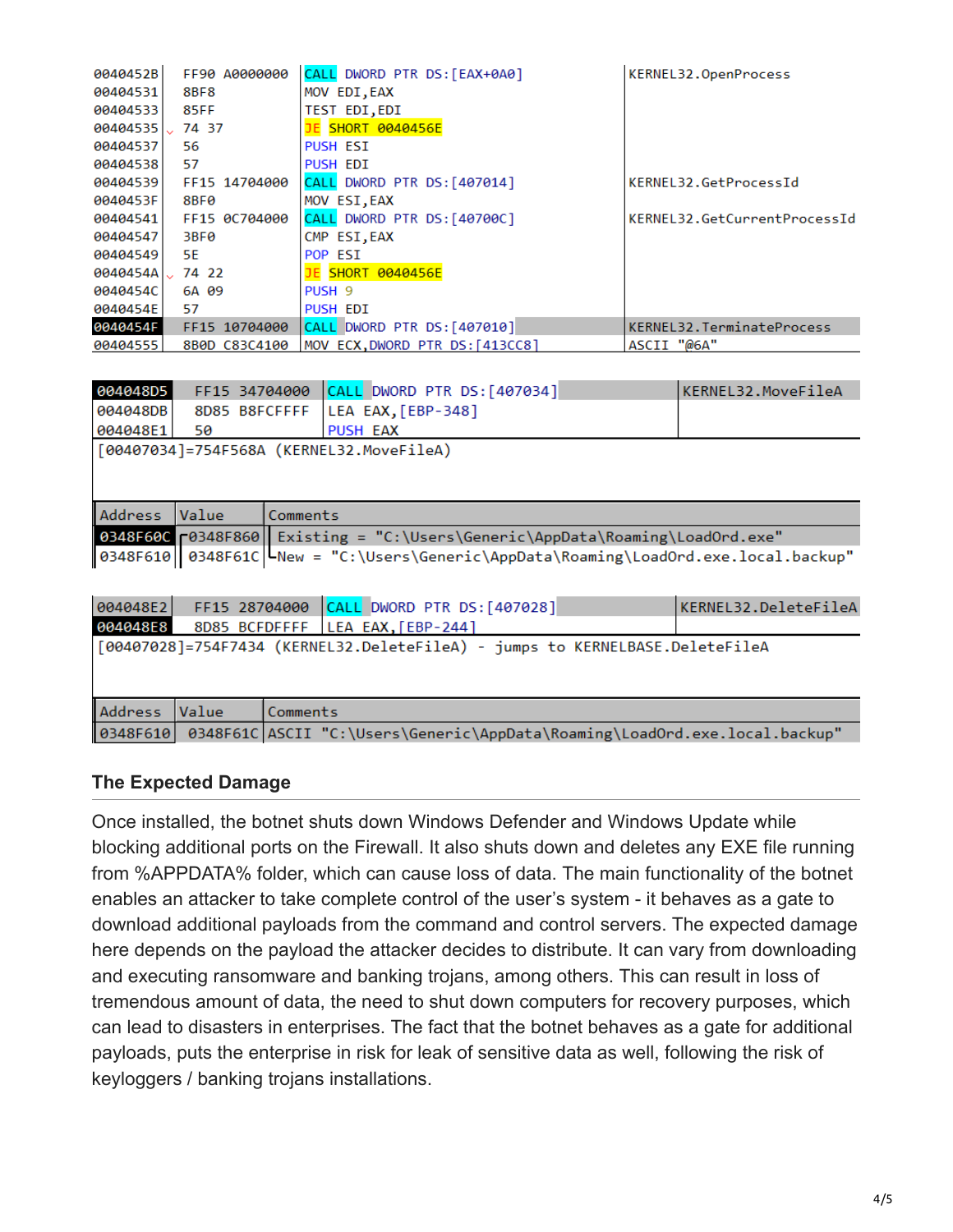| 0040452B         | FF90 A0000000 | CALL DWORD PTR DS: [EAX+0A0]    | KERNEL32.OpenProcess         |
|------------------|---------------|---------------------------------|------------------------------|
| 00404531         | 8BF8          | MOV EDI, EAX                    |                              |
| 00404533         | 85FF          | TEST EDI, EDI                   |                              |
| 00404535 \ 74 37 |               | <b>JE SHORT 0040456E</b>        |                              |
| 00404537         | 56            | PUSH ESI                        |                              |
| 00404538         | 57            | PUSH EDI                        |                              |
| 00404539         | FF15 14704000 | CALL DWORD PTR DS: [407014]     | KERNEL32.GetProcessId        |
| 0040453F         | 8BF0          | MOV ESI, EAX                    |                              |
| 00404541         | FF15 0C704000 | CALL DWORD PTR DS: [40700C]     | KERNEL32.GetCurrentProcessId |
| 00404547         | 3BF0          | CMP ESI, EAX                    |                              |
| 00404549         | 5E            | POP ESI                         |                              |
| 0040454A . 74 22 |               | <b>JE SHORT 0040456E</b>        |                              |
| 0040454C         | 6A 09         | PUSH <sub>9</sub>               |                              |
| 0040454E         | 57            | PUSH EDI                        |                              |
| 0040454F         | FF15 10704000 | CALL DWORD PTR DS: [407010]     | KERNEL32. TerminateProcess   |
| 00404555         | 8B0D C83C4100 | MOV ECX, DWORD PTR DS: [413CC8] | ASCII "@6A"                  |

| 004048D5 |    | FF15 34704000 CALL DWORD PTR DS: [407034] | KERNEL32.MoveFileA |
|----------|----|-------------------------------------------|--------------------|
| 004048DB |    | 8D85 B8FCFFFF   LEA EAX, [EBP-348]        |                    |
| 004048E1 | 50 | PUSH EAX                                  |                    |
|          |    | [00407034]=754F568A (KERNEL32.MoveFileA)  |                    |
|          |    |                                           |                    |

| Address Value | <b>Comments</b>                                                                      |
|---------------|--------------------------------------------------------------------------------------|
|               | 0348F60C [0348F860] Existing = "C:\Users\Generic\AppData\Roaming\LoadOrd.exe"        |
|               | 0348F610 0348F61C LNew = "C:\Users\Generic\AppData\Roaming\LoadOrd.exe.local.backup" |

| 004048E2                                                                     |              |                                                                            | FF15 28704000 CALL DWORD PTR DS: [407028] | KERNEL32.DeleteFileA |
|------------------------------------------------------------------------------|--------------|----------------------------------------------------------------------------|-------------------------------------------|----------------------|
| 004048E8                                                                     |              |                                                                            | 8D85 BCFDFFFF LEA EAX, [EBP-244]          |                      |
| [00407028]=754F7434 (KERNEL32.DeleteFileA) - jumps to KERNELBASE.DeleteFileA |              |                                                                            |                                           |                      |
|                                                                              |              |                                                                            |                                           |                      |
|                                                                              |              |                                                                            |                                           |                      |
| Address                                                                      | <b>Value</b> | Comments                                                                   |                                           |                      |
|                                                                              |              |                                                                            |                                           |                      |
| 0348F610                                                                     |              | 0348F61C ASCII "C:\Users\Generic\AppData\Roaming\LoadOrd.exe.local.backup" |                                           |                      |

### **The Expected Damage**

Once installed, the botnet shuts down Windows Defender and Windows Update while blocking additional ports on the Firewall. It also shuts down and deletes any EXE file running from %APPDATA% folder, which can cause loss of data. The main functionality of the botnet enables an attacker to take complete control of the user's system - it behaves as a gate to download additional payloads from the command and control servers. The expected damage here depends on the payload the attacker decides to distribute. It can vary from downloading and executing ransomware and banking trojans, among others. This can result in loss of tremendous amount of data, the need to shut down computers for recovery purposes, which can lead to disasters in enterprises. The fact that the botnet behaves as a gate for additional payloads, puts the enterprise in risk for leak of sensitive data as well, following the risk of keyloggers / banking trojans installations.